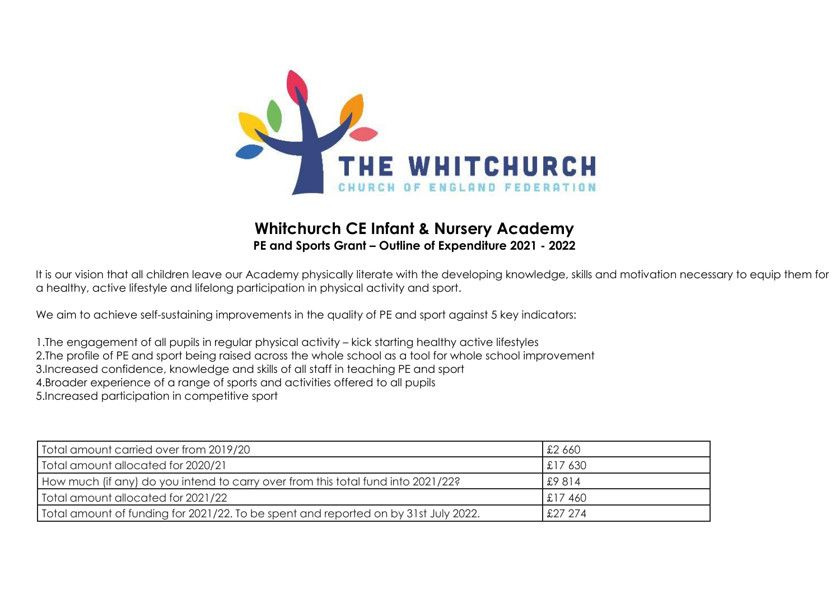

## **Whitchurch CE Infant & Nursery Academy PE and Sports Grant – Outline of Expenditure 2021 - 2022**

It is our vision that all children leave our Academy physically literate with the developing knowledge, skills and motivation necessary to equip them for a healthy, active lifestyle and lifelong participation in physical activity and sport.

We aim to achieve self-sustaining improvements in the quality of PE and sport against 5 key indicators:

1.The engagement of all pupils in regular physical activity – kick starting healthy active lifestyles 2.The profile of PE and sport being raised across the whole school as a tool for whole school improvement 3.Increased confidence, knowledge and skills of all staff in teaching PE and sport 4.Broader experience of a range of sports and activities offered to all pupils 5.Increased participation in competitive sport

| Total amount carried over from 2019/20                                              | £2 660      |
|-------------------------------------------------------------------------------------|-------------|
| Total amount allocated for 2020/21                                                  | $\pm 17630$ |
| How much (if any) do you intend to carry over from this total fund into 2021/22?    | 29814       |
| Total amount allocated for 2021/22                                                  | $\pm 17460$ |
| Total amount of funding for 2021/22. To be spent and reported on by 31st July 2022. | $$27\,274$  |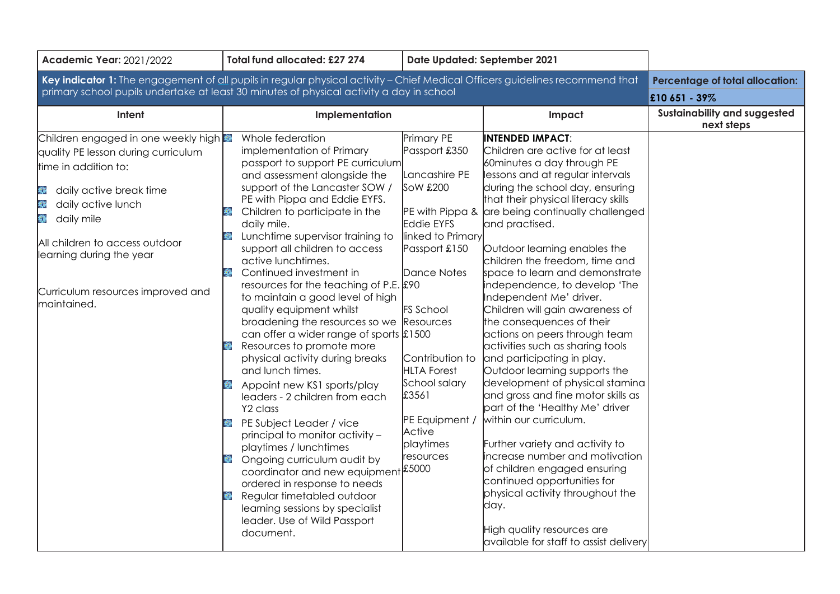| <b>Academic Year: 2021/2022</b>                                                                                                                                                                                                                                                                    | Total fund allocated: £27 274                                                                                                                                                                                                                                                                                                                                                                                                                                                                                                                                                                                                                                                                                                                                                                                                                                                                                                                                                                                                                                                    | Date Updated: September 2021                                                                                                                                                                                                                                                                          |                                                                                                                                                                                                                                                                                                                                                                                                                                                                                                                                                                                                                                                                                                                                                                                                                                                                                                                                                                                                                                                  |                                            |
|----------------------------------------------------------------------------------------------------------------------------------------------------------------------------------------------------------------------------------------------------------------------------------------------------|----------------------------------------------------------------------------------------------------------------------------------------------------------------------------------------------------------------------------------------------------------------------------------------------------------------------------------------------------------------------------------------------------------------------------------------------------------------------------------------------------------------------------------------------------------------------------------------------------------------------------------------------------------------------------------------------------------------------------------------------------------------------------------------------------------------------------------------------------------------------------------------------------------------------------------------------------------------------------------------------------------------------------------------------------------------------------------|-------------------------------------------------------------------------------------------------------------------------------------------------------------------------------------------------------------------------------------------------------------------------------------------------------|--------------------------------------------------------------------------------------------------------------------------------------------------------------------------------------------------------------------------------------------------------------------------------------------------------------------------------------------------------------------------------------------------------------------------------------------------------------------------------------------------------------------------------------------------------------------------------------------------------------------------------------------------------------------------------------------------------------------------------------------------------------------------------------------------------------------------------------------------------------------------------------------------------------------------------------------------------------------------------------------------------------------------------------------------|--------------------------------------------|
| Key indicator 1: The engagement of all pupils in regular physical activity - Chief Medical Officers guidelines recommend that                                                                                                                                                                      | <b>Percentage of total allocation:</b>                                                                                                                                                                                                                                                                                                                                                                                                                                                                                                                                                                                                                                                                                                                                                                                                                                                                                                                                                                                                                                           |                                                                                                                                                                                                                                                                                                       |                                                                                                                                                                                                                                                                                                                                                                                                                                                                                                                                                                                                                                                                                                                                                                                                                                                                                                                                                                                                                                                  |                                            |
| primary school pupils undertake at least 30 minutes of physical activity a day in school                                                                                                                                                                                                           | £10 651 - 39%                                                                                                                                                                                                                                                                                                                                                                                                                                                                                                                                                                                                                                                                                                                                                                                                                                                                                                                                                                                                                                                                    |                                                                                                                                                                                                                                                                                                       |                                                                                                                                                                                                                                                                                                                                                                                                                                                                                                                                                                                                                                                                                                                                                                                                                                                                                                                                                                                                                                                  |                                            |
| Intent                                                                                                                                                                                                                                                                                             | Implementation<br>Impact                                                                                                                                                                                                                                                                                                                                                                                                                                                                                                                                                                                                                                                                                                                                                                                                                                                                                                                                                                                                                                                         |                                                                                                                                                                                                                                                                                                       |                                                                                                                                                                                                                                                                                                                                                                                                                                                                                                                                                                                                                                                                                                                                                                                                                                                                                                                                                                                                                                                  | Sustainability and suggested<br>next steps |
| Children engaged in one weekly high<br>quality PE lesson during curriculum<br>time in addition to:<br>daily active break time<br>美<br>纂<br>daily active lunch<br>daily mile<br>等<br>All children to access outdoor<br>learning during the year<br>Curriculum resources improved and<br>maintained. | Whole federation<br>implementation of Primary<br>passport to support PE curriculum<br>and assessment alongside the<br>support of the Lancaster SOW /<br>PE with Pippa and Eddie EYFS.<br>Children to participate in the<br>邀<br>daily mile.<br>Lunchtime supervisor training to<br>继<br>support all children to access<br>active lunchtimes.<br>Continued investment in<br>纏<br>resources for the teaching of P.E. $$90$<br>to maintain a good level of high<br>quality equipment whilst<br>broadening the resources so we<br>can offer a wider range of sports $\frac{1}{2}$ 1500<br>Resources to promote more<br>physical activity during breaks<br>and lunch times.<br>Appoint new KS1 sports/play<br>leaders - 2 children from each<br>Y <sub>2</sub> class<br>PE Subject Leader / vice<br>principal to monitor activity -<br>playtimes / lunchtimes<br>Ongoing curriculum audit by<br>總<br>coordinator and new equipment<br>ordered in response to needs<br>Regular timetabled outdoor<br>纂<br>learning sessions by specialist<br>leader. Use of Wild Passport<br>document. | Primary PE<br>Passport £350<br>Lancashire PE<br>SoW £200<br><b>Eddie EYFS</b><br>linked to Primary<br>Passport £150<br>Dance Notes<br><b>FS</b> School<br>Resources<br>Contribution to<br><b>HLTA Forest</b><br>School salary<br>£3561<br>PE Equipment /<br>Active<br>playtimes<br>resources<br>£5000 | <b>INTENDED IMPACT:</b><br>Children are active for at least<br>60 minutes a day through PE<br>lessons and at regular intervals<br>during the school day, ensuring<br>that their physical literacy skills<br>PE with Pippa & are being continually challenged<br>and practised.<br>Outdoor learning enables the<br>children the freedom, time and<br>space to learn and demonstrate<br>independence, to develop 'The<br>Independent Me' driver.<br>Children will gain awareness of<br>the consequences of their<br>actions on peers through team<br>activities such as sharing tools<br>and participating in play.<br>Outdoor learning supports the<br>development of physical stamina<br>and gross and fine motor skills as<br>part of the 'Healthy Me' driver<br>within our curriculum.<br>Further variety and activity to<br>increase number and motivation<br>of children engaged ensuring<br>continued opportunities for<br>physical activity throughout the<br>day.<br>High quality resources are<br>available for staff to assist delivery |                                            |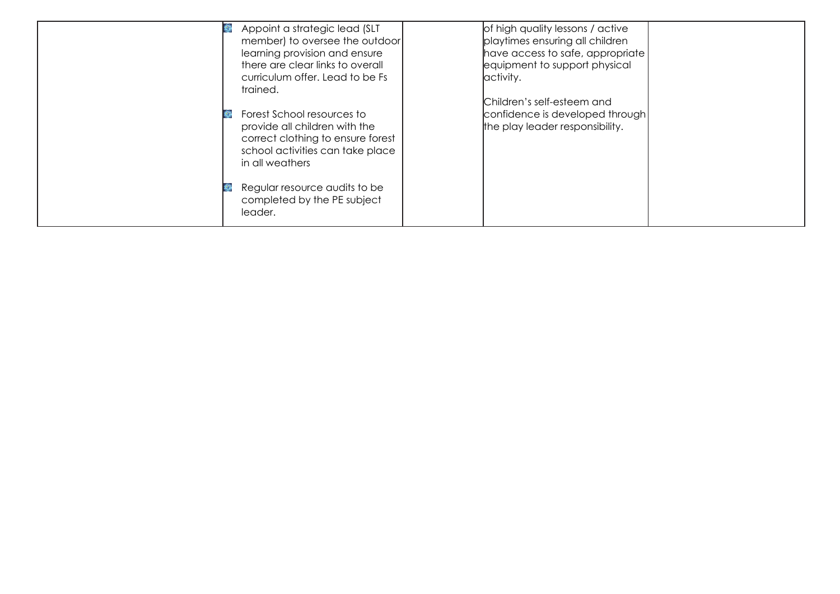| 龜 | Appoint a strategic lead (SLT          | of high quality lessons / active |  |
|---|----------------------------------------|----------------------------------|--|
|   | member) to oversee the outdoor         | playtimes ensuring all children  |  |
|   | learning provision and ensure          | have access to safe, appropriate |  |
|   | there are clear links to overall       | equipment to support physical    |  |
|   | curriculum offer. Lead to be Fs        | activity.                        |  |
|   | trained.                               |                                  |  |
|   |                                        | Children's self-esteem and       |  |
|   | Forest School resources to             | confidence is developed through  |  |
|   | provide all children with the          | the play leader responsibility.  |  |
|   | correct clothing to ensure forest      |                                  |  |
|   | school activities can take place       |                                  |  |
|   | in all weathers                        |                                  |  |
|   |                                        |                                  |  |
|   | Regular resource audits to be          |                                  |  |
|   |                                        |                                  |  |
|   |                                        |                                  |  |
|   | completed by the PE subject<br>leader. |                                  |  |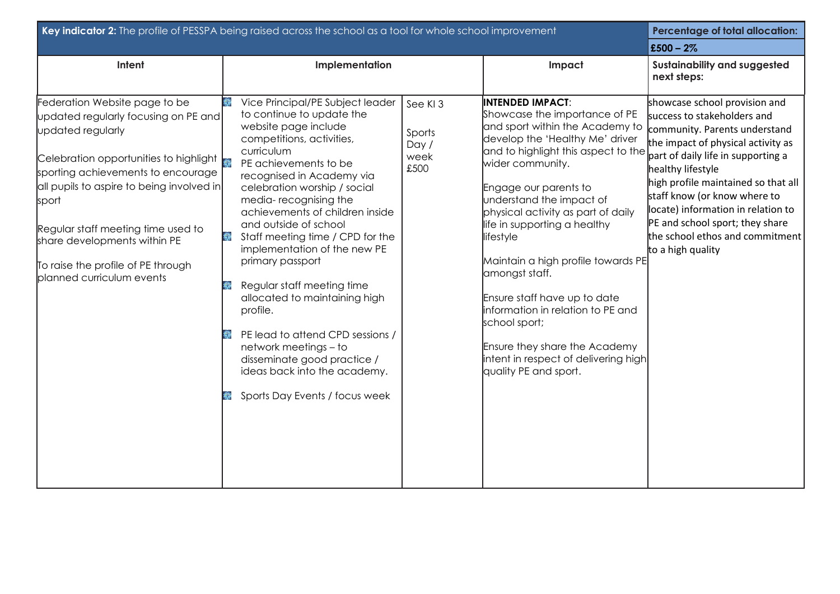| Key indicator 2: The profile of PESSPA being raised across the school as a tool for whole school improvement                                                                                                                                                                                                                                                                                                             |                                                                                                                                                                                                                                                                                                                                                                                                                                                                                                                                                                                                                                                        | <b>Percentage of total allocation:</b>     |                                                                                                                                                                                                                                                                                                                                                                                                                                                                                                                                                                                   |                                                                                                                                                                                                                                                                                                                                                                                                        |
|--------------------------------------------------------------------------------------------------------------------------------------------------------------------------------------------------------------------------------------------------------------------------------------------------------------------------------------------------------------------------------------------------------------------------|--------------------------------------------------------------------------------------------------------------------------------------------------------------------------------------------------------------------------------------------------------------------------------------------------------------------------------------------------------------------------------------------------------------------------------------------------------------------------------------------------------------------------------------------------------------------------------------------------------------------------------------------------------|--------------------------------------------|-----------------------------------------------------------------------------------------------------------------------------------------------------------------------------------------------------------------------------------------------------------------------------------------------------------------------------------------------------------------------------------------------------------------------------------------------------------------------------------------------------------------------------------------------------------------------------------|--------------------------------------------------------------------------------------------------------------------------------------------------------------------------------------------------------------------------------------------------------------------------------------------------------------------------------------------------------------------------------------------------------|
|                                                                                                                                                                                                                                                                                                                                                                                                                          |                                                                                                                                                                                                                                                                                                                                                                                                                                                                                                                                                                                                                                                        |                                            |                                                                                                                                                                                                                                                                                                                                                                                                                                                                                                                                                                                   | £500 - $2\%$                                                                                                                                                                                                                                                                                                                                                                                           |
| Intent                                                                                                                                                                                                                                                                                                                                                                                                                   | Implementation                                                                                                                                                                                                                                                                                                                                                                                                                                                                                                                                                                                                                                         |                                            | Impact                                                                                                                                                                                                                                                                                                                                                                                                                                                                                                                                                                            | Sustainability and suggested<br>next steps:                                                                                                                                                                                                                                                                                                                                                            |
| Federation Website page to be<br>updated regularly focusing on PE and<br>updated regularly<br>Celebration opportunities to highlight $\begin{array}{ l } \hline \end{array}$<br>sporting achievements to encourage<br>all pupils to aspire to being involved in<br><b>sport</b><br>Regular staff meeting time used to<br>share developments within PE<br>To raise the profile of PE through<br>planned curriculum events | Vice Principal/PE Subject leader<br>総<br>to continue to update the<br>website page include<br>competitions, activities,<br>curriculum<br>PE achievements to be<br>recognised in Academy via<br>celebration worship / social<br>media-recognising the<br>achievements of children inside<br>and outside of school<br>Staff meeting time / CPD for the<br>彩<br>implementation of the new PE<br>primary passport<br>Regular staff meeting time<br>allocated to maintaining high<br>profile.<br>PE lead to attend CPD sessions /<br>network meetings - to<br>disseminate good practice /<br>ideas back into the academy.<br>Sports Day Events / focus week | See KI3<br>Sports<br>Day /<br>week<br>£500 | <b>INTENDED IMPACT:</b><br>Showcase the importance of PE<br>and sport within the Academy to<br>develop the 'Healthy Me' driver<br>and to highlight this aspect to the<br>wider community.<br>Engage our parents to<br>understand the impact of<br>physical activity as part of daily<br>life in supporting a healthy<br>lifestyle<br>Maintain a high profile towards PE<br>amongst staff.<br>Ensure staff have up to date<br>information in relation to PE and<br>school sport;<br>Ensure they share the Academy<br>intent in respect of delivering high<br>quality PE and sport. | showcase school provision and<br>success to stakeholders and<br>community. Parents understand<br>the impact of physical activity as<br>part of daily life in supporting a<br>healthy lifestyle<br>high profile maintained so that all<br>staff know (or know where to<br>locate) information in relation to<br>PE and school sport; they share<br>the school ethos and commitment<br>to a high quality |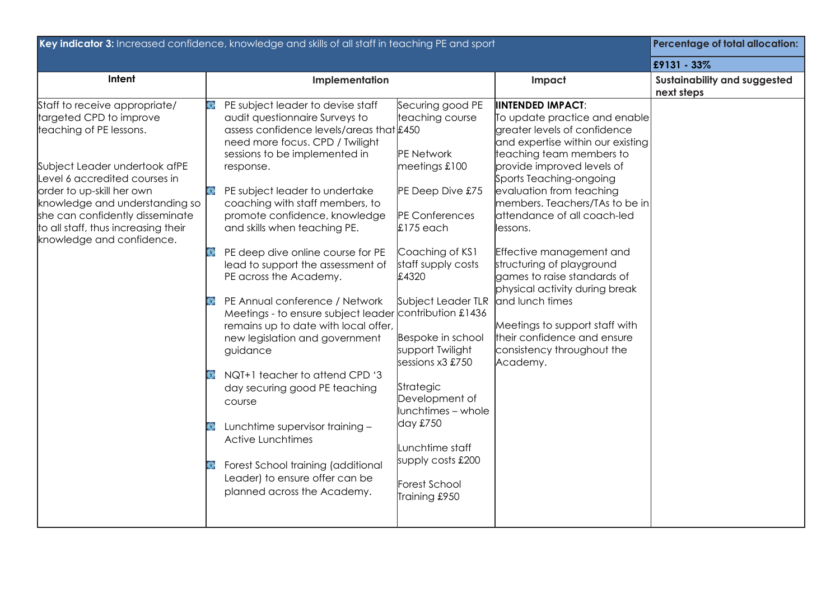|                                                                                                                                                                                                                                                                                                                             | Key indicator 3: Increased confidence, knowledge and skills of all staff in teaching PE and sport<br><b>Percentage of total allocation:</b>                                                                                                                                                                                                                                                                                                                                                                                                                                                                                                                                                                                                                                                                                                                                     |                                                                                                                                                                                                                                                                                                                                                                                                                                                                                                                                                                                                                                                                                                                                                                                                                                                                                                                                                                                                        |                                            |  |
|-----------------------------------------------------------------------------------------------------------------------------------------------------------------------------------------------------------------------------------------------------------------------------------------------------------------------------|---------------------------------------------------------------------------------------------------------------------------------------------------------------------------------------------------------------------------------------------------------------------------------------------------------------------------------------------------------------------------------------------------------------------------------------------------------------------------------------------------------------------------------------------------------------------------------------------------------------------------------------------------------------------------------------------------------------------------------------------------------------------------------------------------------------------------------------------------------------------------------|--------------------------------------------------------------------------------------------------------------------------------------------------------------------------------------------------------------------------------------------------------------------------------------------------------------------------------------------------------------------------------------------------------------------------------------------------------------------------------------------------------------------------------------------------------------------------------------------------------------------------------------------------------------------------------------------------------------------------------------------------------------------------------------------------------------------------------------------------------------------------------------------------------------------------------------------------------------------------------------------------------|--------------------------------------------|--|
|                                                                                                                                                                                                                                                                                                                             |                                                                                                                                                                                                                                                                                                                                                                                                                                                                                                                                                                                                                                                                                                                                                                                                                                                                                 |                                                                                                                                                                                                                                                                                                                                                                                                                                                                                                                                                                                                                                                                                                                                                                                                                                                                                                                                                                                                        | £9131 - 33%                                |  |
| Intent                                                                                                                                                                                                                                                                                                                      | Implementation                                                                                                                                                                                                                                                                                                                                                                                                                                                                                                                                                                                                                                                                                                                                                                                                                                                                  | Impact                                                                                                                                                                                                                                                                                                                                                                                                                                                                                                                                                                                                                                                                                                                                                                                                                                                                                                                                                                                                 | Sustainability and suggested<br>next steps |  |
| Staff to receive appropriate/<br>targeted CPD to improve<br>teaching of PE lessons.<br>Subject Leader undertook afPE<br>Level 6 accredited courses in<br>order to up-skill her own<br>knowledge and understanding so<br>she can confidently disseminate<br>to all staff, thus increasing their<br>knowledge and confidence. | PE subject leader to devise staff<br>audit questionnaire Surveys to<br>assess confidence levels/areas that £450<br>need more focus. CPD / Twilight<br>sessions to be implemented in<br>response.<br>PE subject leader to undertake<br>coaching with staff members, to<br>promote confidence, knowledge<br>and skills when teaching PE.<br>PE deep dive online course for PE<br>lead to support the assessment of<br>PE across the Academy.<br>PE Annual conference / Network<br>Meetings - to ensure subject leader contribution £1436<br>remains up to date with local offer,<br>new legislation and government<br>guidance<br>NQT+1 teacher to attend CPD '3<br>day securing good PE teaching<br>course<br>Lunchtime supervisor training -<br><b>Active Lunchtimes</b><br>Forest School training (additional<br>Leader) to ensure offer can be<br>planned across the Academy. | <b>IINTENDED IMPACT:</b><br>Securing good PE<br>teaching course<br>To update practice and enable<br>greater levels of confidence<br>and expertise within our existing<br>PE Network<br>teaching team members to<br>provide improved levels of<br>meetings £100<br>Sports Teaching-ongoing<br>PE Deep Dive £75<br>evaluation from teaching<br>members. Teachers/TAs to be in<br>attendance of all coach-led<br><b>PE</b> Conferences<br>$£175$ each<br>lessons.<br>Coaching of KS1<br>Effective management and<br>staff supply costs<br>structuring of playground<br>games to raise standards of<br>£4320<br>physical activity during break<br>Subject Leader TLR<br>and lunch times<br>Meetings to support staff with<br>their confidence and ensure<br>Bespoke in school<br>support Twilight<br>consistency throughout the<br>sessions x3 £750<br>Academy.<br>Strategic<br>Development of<br>lunchtimes - whole<br>day £750<br>Lunchtime staff<br>supply costs £200<br>Forest School<br>Training £950 |                                            |  |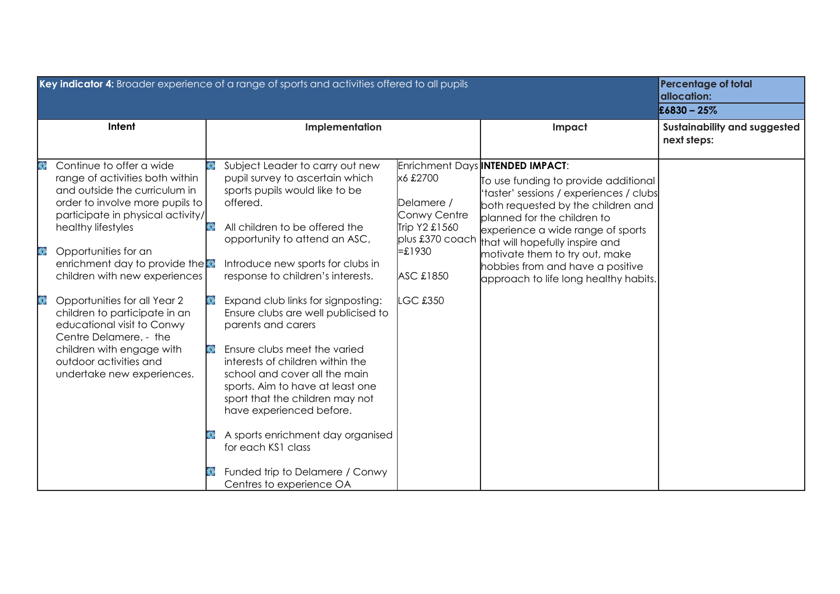| Key indicator 4: Broader experience of a range of sports and activities offered to all pupils                                                                                                                                                                                                                                                                                                                                                                                                                     | <b>Percentage of total</b><br>allocation:<br>$£6830 - 25%$                                                                                                                                                                                                                                                                                                                                                                                                                                                                                                                                                                                                                                                 |                                                                                                                         |                                                                                                                                                                                                                                                                                                                                                                                 |                                             |
|-------------------------------------------------------------------------------------------------------------------------------------------------------------------------------------------------------------------------------------------------------------------------------------------------------------------------------------------------------------------------------------------------------------------------------------------------------------------------------------------------------------------|------------------------------------------------------------------------------------------------------------------------------------------------------------------------------------------------------------------------------------------------------------------------------------------------------------------------------------------------------------------------------------------------------------------------------------------------------------------------------------------------------------------------------------------------------------------------------------------------------------------------------------------------------------------------------------------------------------|-------------------------------------------------------------------------------------------------------------------------|---------------------------------------------------------------------------------------------------------------------------------------------------------------------------------------------------------------------------------------------------------------------------------------------------------------------------------------------------------------------------------|---------------------------------------------|
| Intent                                                                                                                                                                                                                                                                                                                                                                                                                                                                                                            | Implementation                                                                                                                                                                                                                                                                                                                                                                                                                                                                                                                                                                                                                                                                                             |                                                                                                                         | Impact                                                                                                                                                                                                                                                                                                                                                                          | Sustainability and suggested<br>next steps: |
| Continue to offer a wide<br>龜<br>range of activities both within<br>and outside the curriculum in<br>order to involve more pupils to<br>participate in physical activity/<br>healthy lifestyles<br>Opportunities for an<br>₩<br>enrichment day to provide the<br>children with new experiences<br>₩<br>Opportunities for all Year 2<br>children to participate in an<br>educational visit to Conwy<br>Centre Delamere, - the<br>children with engage with<br>outdoor activities and<br>undertake new experiences. | Subject Leader to carry out new<br>pupil survey to ascertain which<br>sports pupils would like to be<br>offered.<br>All children to be offered the<br>opportunity to attend an ASC,<br>Introduce new sports for clubs in<br>response to children's interests.<br>Expand club links for signposting:<br>Ensure clubs are well publicised to<br>parents and carers<br>Ensure clubs meet the varied<br>■ 22<br>interests of children within the<br>school and cover all the main<br>sports. Aim to have at least one<br>sport that the children may not<br>have experienced before.<br>A sports enrichment day organised<br>for each KS1 class<br>Funded trip to Delamere / Conwy<br>Centres to experience OA | x6 £2700<br>Delamere /<br>Conwy Centre<br>Trip Y2 £1560<br>plus £370 coach<br>$= £1930$<br>ASC £1850<br><b>LGC £350</b> | Enrichment Days INTENDED IMPACT:<br>To use funding to provide additional<br>'taster' sessions / experiences / clubs<br>both requested by the children and<br>planned for the children to<br>experience a wide range of sports<br>that will hopefully inspire and<br>motivate them to try out, make<br>hobbies from and have a positive<br>approach to life long healthy habits. |                                             |